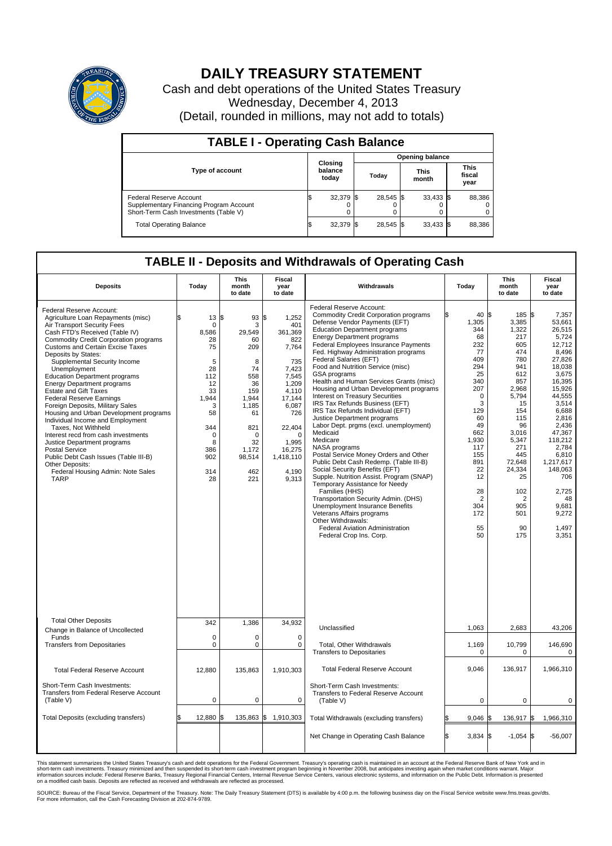

## **DAILY TREASURY STATEMENT**

Cash and debt operations of the United States Treasury Wednesday, December 4, 2013 (Detail, rounded in millions, may not add to totals)

| <b>TABLE I - Operating Cash Balance</b>                                                                     |     |                             |      |           |  |                      |  |                               |  |  |
|-------------------------------------------------------------------------------------------------------------|-----|-----------------------------|------|-----------|--|----------------------|--|-------------------------------|--|--|
| <b>Opening balance</b>                                                                                      |     |                             |      |           |  |                      |  |                               |  |  |
| <b>Type of account</b>                                                                                      |     | Closing<br>balance<br>today |      | Today     |  | <b>This</b><br>month |  | <b>This</b><br>fiscal<br>year |  |  |
| Federal Reserve Account<br>Supplementary Financing Program Account<br>Short-Term Cash Investments (Table V) |     | 32,379                      | -155 | 28.545 \$ |  | $33,433$ \$          |  | 88,386                        |  |  |
| <b>Total Operating Balance</b>                                                                              | l\$ | 32,379                      | -155 | 28,545 \$ |  | 33,433 \$            |  | 88,386                        |  |  |

## **TABLE II - Deposits and Withdrawals of Operating Cash**

| <b>Deposits</b>                                                                                                                                                                                                                                                                                                                                                                                                                                                                                                                                                                                                                                                                                                                                                                                           | Today                                                                                                                                                          | <b>This</b><br>month<br>to date                                                                                                                 | <b>Fiscal</b><br>year<br>to date                                                                                                                                                              | Withdrawals                                                                                                                                                                                                                                                                                                                                                                                                                                                                                                                                                                                                                                                                                                                                                                                                                                                                                                                                                                                                                                                                                                 | Today                                                                                                                                                                                                                | <b>This</b><br>month<br>to date                                                                                                                                                                                                                  | <b>Fiscal</b><br>year<br>to date                                                                                                                                                                                                                                              |
|-----------------------------------------------------------------------------------------------------------------------------------------------------------------------------------------------------------------------------------------------------------------------------------------------------------------------------------------------------------------------------------------------------------------------------------------------------------------------------------------------------------------------------------------------------------------------------------------------------------------------------------------------------------------------------------------------------------------------------------------------------------------------------------------------------------|----------------------------------------------------------------------------------------------------------------------------------------------------------------|-------------------------------------------------------------------------------------------------------------------------------------------------|-----------------------------------------------------------------------------------------------------------------------------------------------------------------------------------------------|-------------------------------------------------------------------------------------------------------------------------------------------------------------------------------------------------------------------------------------------------------------------------------------------------------------------------------------------------------------------------------------------------------------------------------------------------------------------------------------------------------------------------------------------------------------------------------------------------------------------------------------------------------------------------------------------------------------------------------------------------------------------------------------------------------------------------------------------------------------------------------------------------------------------------------------------------------------------------------------------------------------------------------------------------------------------------------------------------------------|----------------------------------------------------------------------------------------------------------------------------------------------------------------------------------------------------------------------|--------------------------------------------------------------------------------------------------------------------------------------------------------------------------------------------------------------------------------------------------|-------------------------------------------------------------------------------------------------------------------------------------------------------------------------------------------------------------------------------------------------------------------------------|
| Federal Reserve Account:<br>Agriculture Loan Repayments (misc)<br>Air Transport Security Fees<br>Cash FTD's Received (Table IV)<br><b>Commodity Credit Corporation programs</b><br><b>Customs and Certain Excise Taxes</b><br>Deposits by States:<br>Supplemental Security Income<br>Unemployment<br><b>Education Department programs</b><br><b>Energy Department programs</b><br><b>Estate and Gift Taxes</b><br><b>Federal Reserve Earnings</b><br>Foreign Deposits, Military Sales<br>Housing and Urban Development programs<br>Individual Income and Employment<br>Taxes. Not Withheld<br>Interest recd from cash investments<br>Justice Department programs<br><b>Postal Service</b><br>Public Debt Cash Issues (Table III-B)<br>Other Deposits:<br>Federal Housing Admin: Note Sales<br><b>TARP</b> | $13 \,$ $\uparrow$<br>$\mathbf 0$<br>8,586<br>28<br>75<br>5<br>28<br>112<br>12<br>33<br>1.944<br>3<br>58<br>344<br>$\mathbf 0$<br>8<br>386<br>902<br>314<br>28 | 93<br>3<br>29,549<br>60<br>209<br>8<br>74<br>558<br>36<br>159<br>1.944<br>1,185<br>61<br>821<br>$\Omega$<br>32<br>1,172<br>98,514<br>462<br>221 | \$<br>1,252<br>401<br>361,369<br>822<br>7,764<br>735<br>7.423<br>7.545<br>1,209<br>4,110<br>17,144<br>6,087<br>726<br>22,404<br>$\mathbf 0$<br>1.995<br>16,275<br>1,418,110<br>4,190<br>9,313 | Federal Reserve Account:<br><b>Commodity Credit Corporation programs</b><br>Defense Vendor Payments (EFT)<br><b>Education Department programs</b><br><b>Energy Department programs</b><br>Federal Employees Insurance Payments<br>Fed. Highway Administration programs<br>Federal Salaries (EFT)<br>Food and Nutrition Service (misc)<br><b>GSA</b> programs<br>Health and Human Services Grants (misc)<br>Housing and Urban Development programs<br>Interest on Treasury Securities<br>IRS Tax Refunds Business (EFT)<br>IRS Tax Refunds Individual (EFT)<br>Justice Department programs<br>Labor Dept. prgms (excl. unemployment)<br>Medicaid<br>Medicare<br>NASA programs<br>Postal Service Money Orders and Other<br>Public Debt Cash Redemp. (Table III-B)<br>Social Security Benefits (EFT)<br>Supple. Nutrition Assist. Program (SNAP)<br>Temporary Assistance for Needy<br>Families (HHS)<br>Transportation Security Admin. (DHS)<br><b>Unemployment Insurance Benefits</b><br>Veterans Affairs programs<br>Other Withdrawals:<br><b>Federal Aviation Administration</b><br>Federal Crop Ins. Corp. | 40 \$<br>1,305<br>344<br>68<br>232<br>77<br>409<br>294<br>25<br>340<br>207<br>$\mathbf 0$<br>3<br>129<br>60<br>49<br>662<br>1,930<br>117<br>155<br>891<br>22<br>12<br>28<br>$\overline{2}$<br>304<br>172<br>55<br>50 | $185$ $\frac{1}{3}$<br>3,385<br>1,322<br>217<br>605<br>474<br>780<br>941<br>612<br>857<br>2,968<br>5,794<br>15<br>154<br>115<br>96<br>3,016<br>5,347<br>271<br>445<br>72,648<br>24,334<br>25<br>102<br>$\overline{2}$<br>905<br>501<br>90<br>175 | 7,357<br>53,661<br>26,515<br>5.724<br>12,712<br>8.496<br>27,826<br>18,038<br>3,675<br>16.395<br>15,926<br>44,555<br>3.514<br>6,688<br>2,816<br>2,436<br>47,367<br>118,212<br>2.784<br>6,810<br>1,217,617<br>148,063<br>706<br>2,725<br>48<br>9,681<br>9,272<br>1,497<br>3,351 |
| <b>Total Other Deposits</b><br>Change in Balance of Uncollected                                                                                                                                                                                                                                                                                                                                                                                                                                                                                                                                                                                                                                                                                                                                           | 342                                                                                                                                                            | 1,386                                                                                                                                           | 34,932                                                                                                                                                                                        | Unclassified                                                                                                                                                                                                                                                                                                                                                                                                                                                                                                                                                                                                                                                                                                                                                                                                                                                                                                                                                                                                                                                                                                | 1,063                                                                                                                                                                                                                | 2,683                                                                                                                                                                                                                                            | 43,206                                                                                                                                                                                                                                                                        |
| Funds<br><b>Transfers from Depositaries</b>                                                                                                                                                                                                                                                                                                                                                                                                                                                                                                                                                                                                                                                                                                                                                               | $\mathbf 0$<br>$\mathbf 0$                                                                                                                                     | 0<br>0                                                                                                                                          | $\mathbf 0$<br>0                                                                                                                                                                              | Total, Other Withdrawals<br><b>Transfers to Depositaries</b>                                                                                                                                                                                                                                                                                                                                                                                                                                                                                                                                                                                                                                                                                                                                                                                                                                                                                                                                                                                                                                                | 1,169<br>$\mathbf 0$                                                                                                                                                                                                 | 10,799<br>0                                                                                                                                                                                                                                      | 146,690<br>0                                                                                                                                                                                                                                                                  |
| <b>Total Federal Reserve Account</b>                                                                                                                                                                                                                                                                                                                                                                                                                                                                                                                                                                                                                                                                                                                                                                      | 12.880                                                                                                                                                         | 135,863                                                                                                                                         | 1,910,303                                                                                                                                                                                     | <b>Total Federal Reserve Account</b>                                                                                                                                                                                                                                                                                                                                                                                                                                                                                                                                                                                                                                                                                                                                                                                                                                                                                                                                                                                                                                                                        | 9,046                                                                                                                                                                                                                | 136,917                                                                                                                                                                                                                                          | 1,966,310                                                                                                                                                                                                                                                                     |
| Short-Term Cash Investments:<br><b>Transfers from Federal Reserve Account</b><br>(Table V)                                                                                                                                                                                                                                                                                                                                                                                                                                                                                                                                                                                                                                                                                                                | $\pmb{0}$                                                                                                                                                      | 0                                                                                                                                               | 0                                                                                                                                                                                             | Short-Term Cash Investments:<br>Transfers to Federal Reserve Account<br>(Table V)                                                                                                                                                                                                                                                                                                                                                                                                                                                                                                                                                                                                                                                                                                                                                                                                                                                                                                                                                                                                                           | $\mathbf 0$                                                                                                                                                                                                          | 0                                                                                                                                                                                                                                                | 0                                                                                                                                                                                                                                                                             |
| Total Deposits (excluding transfers)                                                                                                                                                                                                                                                                                                                                                                                                                                                                                                                                                                                                                                                                                                                                                                      | 12,880                                                                                                                                                         | 135,863                                                                                                                                         | \$<br>1,910,303                                                                                                                                                                               | Total Withdrawals (excluding transfers)                                                                                                                                                                                                                                                                                                                                                                                                                                                                                                                                                                                                                                                                                                                                                                                                                                                                                                                                                                                                                                                                     | $9,046$ \$<br>\$                                                                                                                                                                                                     | 136,917 \$                                                                                                                                                                                                                                       | 1,966,310                                                                                                                                                                                                                                                                     |
|                                                                                                                                                                                                                                                                                                                                                                                                                                                                                                                                                                                                                                                                                                                                                                                                           |                                                                                                                                                                |                                                                                                                                                 |                                                                                                                                                                                               | Net Change in Operating Cash Balance                                                                                                                                                                                                                                                                                                                                                                                                                                                                                                                                                                                                                                                                                                                                                                                                                                                                                                                                                                                                                                                                        | l\$<br>$3,834$ \$                                                                                                                                                                                                    | $-1,054$ \$                                                                                                                                                                                                                                      | $-56,007$                                                                                                                                                                                                                                                                     |

This statement summarizes the United States Treasury's cash and debt operations for the Federal Government. Treasury's operating cash is maintained in an account at the Federal Reserve Bank of New York and in<br>short-term ca

SOURCE: Bureau of the Fiscal Service, Department of the Treasury. Note: The Daily Treasury Statement (DTS) is available by 4:00 p.m. the following business day on the Fiscal Service website www.fms.treas.gov/dts.<br>For more